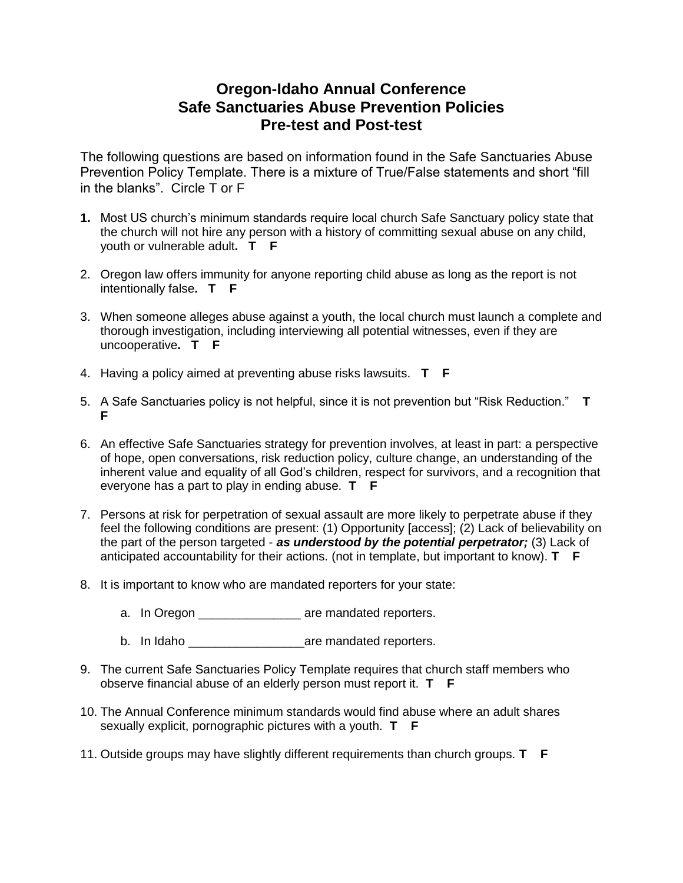## **Oregon-Idaho Annual Conference Safe Sanctuaries Abuse Prevention Policies Pre-test and Post-test**

The following questions are based on information found in the Safe Sanctuaries Abuse Prevention Policy Template. There is a mixture of True/False statements and short "fill in the blanks". Circle T or F

- **1.** Most US church's minimum standards require local church Safe Sanctuary policy state that the church will not hire any person with a history of committing sexual abuse on any child, youth or vulnerable adult**. T F**
- 2. Oregon law offers immunity for anyone reporting child abuse as long as the report is not intentionally false**. T F**
- 3. When someone alleges abuse against a youth, the local church must launch a complete and thorough investigation, including interviewing all potential witnesses, even if they are uncooperative**. T F**
- 4. Having a policy aimed at preventing abuse risks lawsuits. **T F**
- 5. A Safe Sanctuaries policy is not helpful, since it is not prevention but "Risk Reduction." **T F**
- 6. An effective Safe Sanctuaries strategy for prevention involves, at least in part: a perspective of hope, open conversations, risk reduction policy, culture change, an understanding of the inherent value and equality of all God's children, respect for survivors, and a recognition that everyone has a part to play in ending abuse. **T F**
- 7. Persons at risk for perpetration of sexual assault are more likely to perpetrate abuse if they feel the following conditions are present: (1) Opportunity [access]; (2) Lack of believability on the part of the person targeted - *as understood by the potential perpetrator;* (3) Lack of anticipated accountability for their actions. (not in template, but important to know). **T F**
- 8. It is important to know who are mandated reporters for your state:
	- a. In Oregon \_\_\_\_\_\_\_\_\_\_\_\_\_\_\_\_\_ are mandated reporters.
	- b. In Idaho \_\_\_\_\_\_\_\_\_\_\_\_\_\_\_\_\_are mandated reporters.
- 9. The current Safe Sanctuaries Policy Template requires that church staff members who observe financial abuse of an elderly person must report it. **T F**
- 10. The Annual Conference minimum standards would find abuse where an adult shares sexually explicit, pornographic pictures with a youth. **T F**
- 11. Outside groups may have slightly different requirements than church groups. **T F**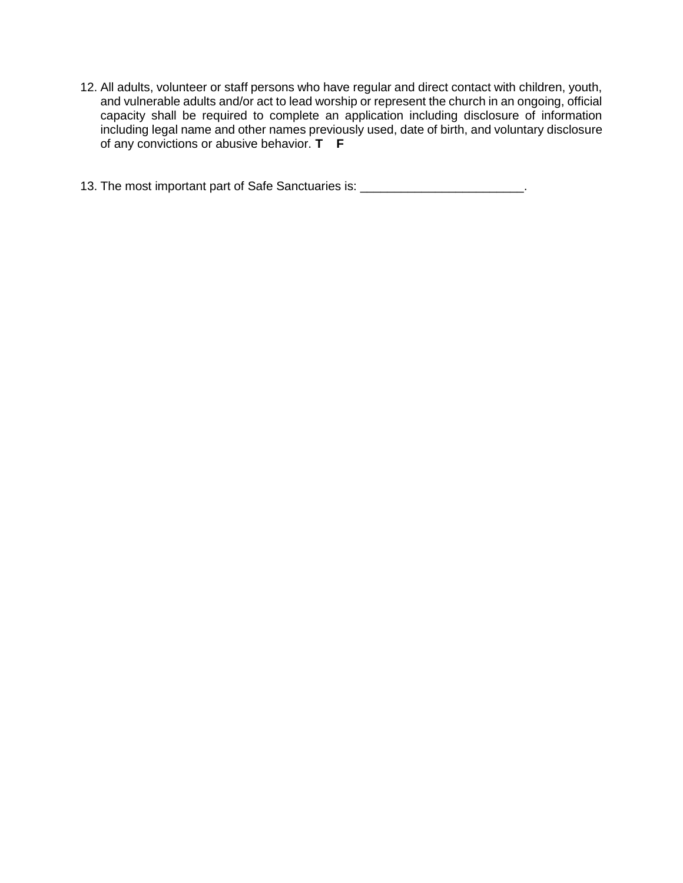12. All adults, volunteer or staff persons who have regular and direct contact with children, youth, and vulnerable adults and/or act to lead worship or represent the church in an ongoing, official capacity shall be required to complete an application including disclosure of information including legal name and other names previously used, date of birth, and voluntary disclosure of any convictions or abusive behavior. **T F**

13. The most important part of Safe Sanctuaries is: \_\_\_\_\_\_\_\_\_\_\_\_\_\_\_\_\_\_\_\_\_\_\_\_\_\_\_.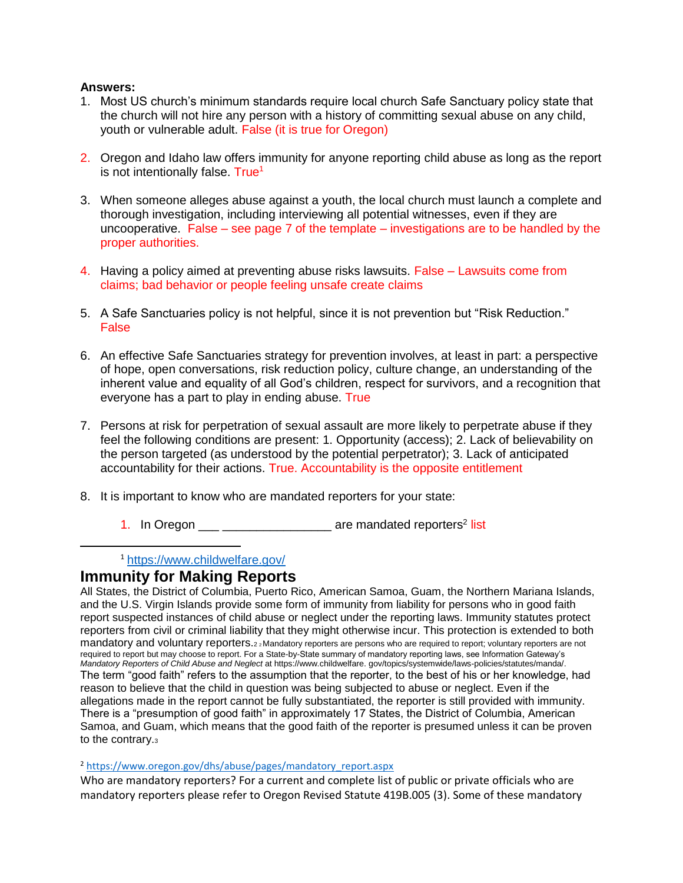## **Answers:**

- 1. Most US church's minimum standards require local church Safe Sanctuary policy state that the church will not hire any person with a history of committing sexual abuse on any child, youth or vulnerable adult. False (it is true for Oregon)
- 2. Oregon and Idaho law offers immunity for anyone reporting child abuse as long as the report is not intentionally false. True<sup>1</sup>
- 3. When someone alleges abuse against a youth, the local church must launch a complete and thorough investigation, including interviewing all potential witnesses, even if they are uncooperative. False – see page 7 of the template – investigations are to be handled by the proper authorities.
- 4. Having a policy aimed at preventing abuse risks lawsuits. False Lawsuits come from claims; bad behavior or people feeling unsafe create claims
- 5. A Safe Sanctuaries policy is not helpful, since it is not prevention but "Risk Reduction." False
- 6. An effective Safe Sanctuaries strategy for prevention involves, at least in part: a perspective of hope, open conversations, risk reduction policy, culture change, an understanding of the inherent value and equality of all God's children, respect for survivors, and a recognition that everyone has a part to play in ending abuse. True
- 7. Persons at risk for perpetration of sexual assault are more likely to perpetrate abuse if they feel the following conditions are present: 1. Opportunity (access); 2. Lack of believability on the person targeted (as understood by the potential perpetrator); 3. Lack of anticipated accountability for their actions. True. Accountability is the opposite entitlement
- 8. It is important to know who are mandated reporters for your state:
	- 1. In Oregon \_\_\_ \_\_\_\_\_\_\_\_\_\_\_\_\_\_\_\_\_\_\_ are mandated reporters<sup>2</sup> list

<sup>1</sup> <https://www.childwelfare.gov/>

## **Immunity for Making Reports**

 $\overline{\phantom{a}}$ 

All States, the District of Columbia, Puerto Rico, American Samoa, Guam, the Northern Mariana Islands, and the U.S. Virgin Islands provide some form of immunity from liability for persons who in good faith report suspected instances of child abuse or neglect under the reporting laws. Immunity statutes protect reporters from civil or criminal liability that they might otherwise incur. This protection is extended to both mandatory and voluntary reporters.22 Mandatory reporters are persons who are required to report; voluntary reporters are not required to report but may choose to report. For a State-by-State summary of mandatory reporting laws, see Information Gateway's *Mandatory Reporters of Child Abuse and Neglect* at https://www.childwelfare. gov/topics/systemwide/laws-policies/statutes/manda/. The term "good faith" refers to the assumption that the reporter, to the best of his or her knowledge, had reason to believe that the child in question was being subjected to abuse or neglect. Even if the allegations made in the report cannot be fully substantiated, the reporter is still provided with immunity. There is a "presumption of good faith" in approximately 17 States, the District of Columbia, American Samoa, and Guam, which means that the good faith of the reporter is presumed unless it can be proven to the contrary.<sup>3</sup>

<sup>2</sup> [https://www.oregon.gov/dhs/abuse/pages/mandatory\\_report.aspx](https://www.oregon.gov/dhs/abuse/pages/mandatory_report.aspx)

Who are mandatory reporters? For a current and complete list of public or private officials who are mandatory reporters please refer to [Oregon Revised Statute 419B.005 \(3\).](https://www.oregonlegislature.gov/bills_laws/ors/ors419B.html) Some of these mandatory